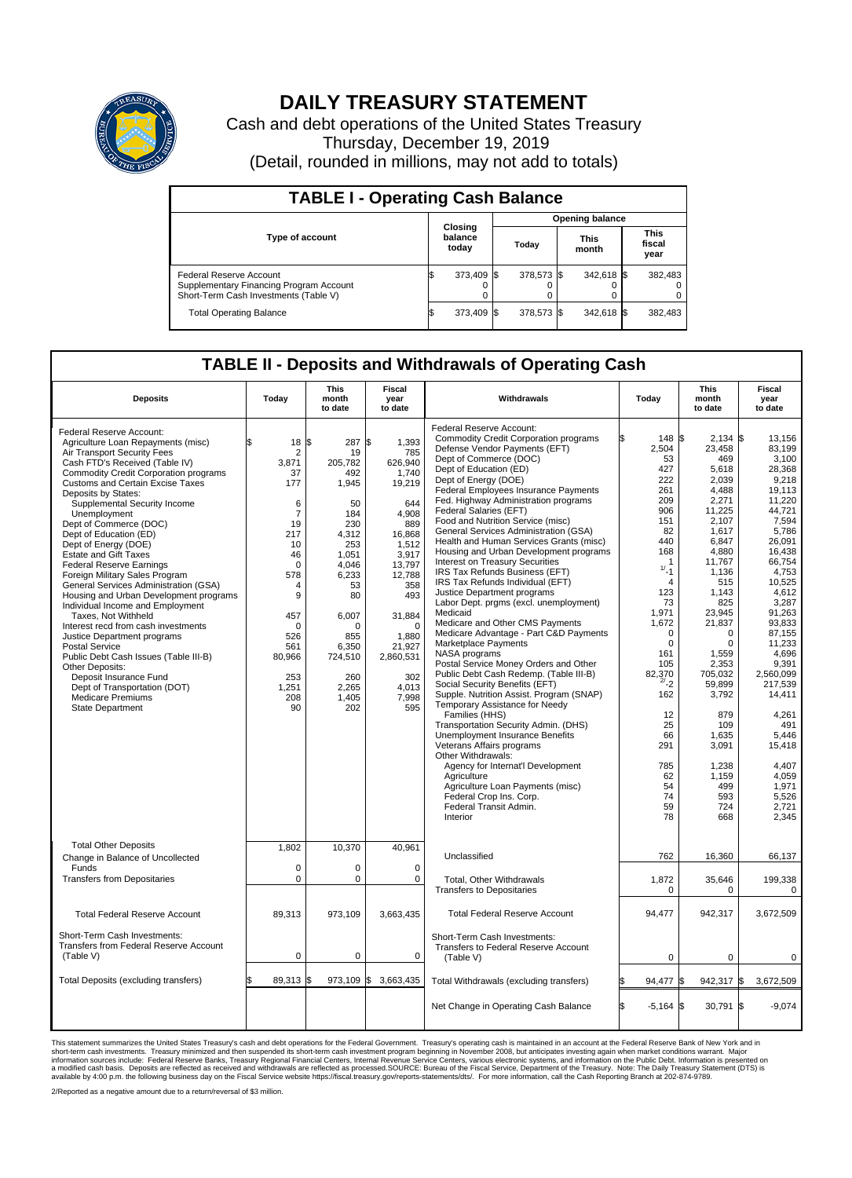

## **DAILY TREASURY STATEMENT**

Cash and debt operations of the United States Treasury Thursday, December 19, 2019 (Detail, rounded in millions, may not add to totals)

| <b>TABLE I - Operating Cash Balance</b>                                                                     |                             |            |                        |            |                      |            |  |                               |  |  |  |
|-------------------------------------------------------------------------------------------------------------|-----------------------------|------------|------------------------|------------|----------------------|------------|--|-------------------------------|--|--|--|
|                                                                                                             | Closing<br>balance<br>today |            | <b>Opening balance</b> |            |                      |            |  |                               |  |  |  |
| Type of account                                                                                             |                             |            | Today                  |            | <b>This</b><br>month |            |  | <b>This</b><br>fiscal<br>year |  |  |  |
| Federal Reserve Account<br>Supplementary Financing Program Account<br>Short-Term Cash Investments (Table V) |                             | 373,409 \$ |                        | 378,573 \$ |                      | 342,618 \$ |  | 382,483                       |  |  |  |
| <b>Total Operating Balance</b>                                                                              |                             | 373,409 \$ |                        | 378,573 \$ |                      | 342,618 \$ |  | 382,483                       |  |  |  |

## **TABLE II - Deposits and Withdrawals of Operating Cash**

| <b>Deposits</b>                                                                                                                                                                                                                                                                                                                                                                                                                                                                                                                                                                                                                                                                                                                                                                                                                                                                                              | Today                                                                                                                                                                                                           | This<br>month<br>to date                                                                                                                                                                 | Fiscal<br>year<br>to date                                                                                                                                                                                                   | Withdrawals                                                                                                                                                                                                                                                                                                                                                                                                                                                                                                                                                                                                                                                                                                                                                                                                                                                                                                                                                                                                                                                                                                                                                                                                                                                                                               | Today                                                                                                                                                                                                                                                                                                           | This<br>month<br>to date                                                                                                                                                                                                                                                                                                                   | Fiscal<br>year<br>to date                                                                                                                                                                                                                                                                                                                            |  |
|--------------------------------------------------------------------------------------------------------------------------------------------------------------------------------------------------------------------------------------------------------------------------------------------------------------------------------------------------------------------------------------------------------------------------------------------------------------------------------------------------------------------------------------------------------------------------------------------------------------------------------------------------------------------------------------------------------------------------------------------------------------------------------------------------------------------------------------------------------------------------------------------------------------|-----------------------------------------------------------------------------------------------------------------------------------------------------------------------------------------------------------------|------------------------------------------------------------------------------------------------------------------------------------------------------------------------------------------|-----------------------------------------------------------------------------------------------------------------------------------------------------------------------------------------------------------------------------|-----------------------------------------------------------------------------------------------------------------------------------------------------------------------------------------------------------------------------------------------------------------------------------------------------------------------------------------------------------------------------------------------------------------------------------------------------------------------------------------------------------------------------------------------------------------------------------------------------------------------------------------------------------------------------------------------------------------------------------------------------------------------------------------------------------------------------------------------------------------------------------------------------------------------------------------------------------------------------------------------------------------------------------------------------------------------------------------------------------------------------------------------------------------------------------------------------------------------------------------------------------------------------------------------------------|-----------------------------------------------------------------------------------------------------------------------------------------------------------------------------------------------------------------------------------------------------------------------------------------------------------------|--------------------------------------------------------------------------------------------------------------------------------------------------------------------------------------------------------------------------------------------------------------------------------------------------------------------------------------------|------------------------------------------------------------------------------------------------------------------------------------------------------------------------------------------------------------------------------------------------------------------------------------------------------------------------------------------------------|--|
| Federal Reserve Account:<br>Agriculture Loan Repayments (misc)<br>Air Transport Security Fees<br>Cash FTD's Received (Table IV)<br><b>Commodity Credit Corporation programs</b><br><b>Customs and Certain Excise Taxes</b><br>Deposits by States:<br>Supplemental Security Income<br>Unemployment<br>Dept of Commerce (DOC)<br>Dept of Education (ED)<br>Dept of Energy (DOE)<br><b>Estate and Gift Taxes</b><br><b>Federal Reserve Earnings</b><br>Foreign Military Sales Program<br>General Services Administration (GSA)<br>Housing and Urban Development programs<br>Individual Income and Employment<br>Taxes, Not Withheld<br>Interest recd from cash investments<br>Justice Department programs<br><b>Postal Service</b><br>Public Debt Cash Issues (Table III-B)<br>Other Deposits:<br>Deposit Insurance Fund<br>Dept of Transportation (DOT)<br><b>Medicare Premiums</b><br><b>State Department</b> | $18 \,$ $\uparrow$<br>$\overline{2}$<br>3,871<br>37<br>177<br>6<br>$\overline{7}$<br>19<br>217<br>10<br>46<br>$\Omega$<br>578<br>4<br>9<br>457<br>$\Omega$<br>526<br>561<br>80,966<br>253<br>1.251<br>208<br>90 | 287<br>19<br>205,782<br>492<br>1,945<br>50<br>184<br>230<br>4.312<br>253<br>1,051<br>4,046<br>6,233<br>53<br>80<br>6,007<br>O<br>855<br>6,350<br>724,510<br>260<br>2,265<br>1,405<br>202 | \$<br>1,393<br>785<br>626,940<br>1,740<br>19,219<br>644<br>4,908<br>889<br>16,868<br>1,512<br>3,917<br>13,797<br>12,788<br>358<br>493<br>31,884<br>$\Omega$<br>1.880<br>21,927<br>2,860,531<br>302<br>4.013<br>7,998<br>595 | Federal Reserve Account:<br><b>Commodity Credit Corporation programs</b><br>Defense Vendor Payments (EFT)<br>Dept of Commerce (DOC)<br>Dept of Education (ED)<br>Dept of Energy (DOE)<br>Federal Employees Insurance Payments<br>Fed. Highway Administration programs<br>Federal Salaries (EFT)<br>Food and Nutrition Service (misc)<br>General Services Administration (GSA)<br>Health and Human Services Grants (misc)<br>Housing and Urban Development programs<br>Interest on Treasury Securities<br>IRS Tax Refunds Business (EFT)<br>IRS Tax Refunds Individual (EFT)<br>Justice Department programs<br>Labor Dept. prgms (excl. unemployment)<br>Medicaid<br>Medicare and Other CMS Payments<br>Medicare Advantage - Part C&D Payments<br>Marketplace Payments<br>NASA programs<br>Postal Service Money Orders and Other<br>Public Debt Cash Redemp. (Table III-B)<br>Social Security Benefits (EFT)<br>Supple. Nutrition Assist. Program (SNAP)<br>Temporary Assistance for Needy<br>Families (HHS)<br>Transportation Security Admin. (DHS)<br><b>Unemployment Insurance Benefits</b><br>Veterans Affairs programs<br>Other Withdrawals:<br>Agency for Internat'l Development<br>Agriculture<br>Agriculture Loan Payments (misc)<br>Federal Crop Ins. Corp.<br>Federal Transit Admin.<br>Interior | Ŝ.<br>148<br>2,504<br>53<br>427<br>222<br>261<br>209<br>906<br>151<br>82<br>440<br>168<br>$\overline{1}$<br>$1/2 - 1$<br>$\overline{4}$<br>123<br>73<br>1.971<br>1,672<br>$\mathbf 0$<br>$\mathbf 0$<br>161<br>105<br>82.370<br>$^{2/-}$ 2<br>162<br>12<br>25<br>66<br>291<br>785<br>62<br>54<br>74<br>59<br>78 | $2,134$ \$<br>\$<br>23,458<br>469<br>5,618<br>2.039<br>4,488<br>2,271<br>11,225<br>2.107<br>1,617<br>6,847<br>4,880<br>11,767<br>1.136<br>515<br>1,143<br>825<br>23.945<br>21,837<br>$\Omega$<br>$\mathbf 0$<br>1,559<br>2,353<br>705,032<br>59,899<br>3,792<br>879<br>109<br>1,635<br>3,091<br>1,238<br>1.159<br>499<br>593<br>724<br>668 | 13,156<br>83,199<br>3,100<br>28,368<br>9.218<br>19,113<br>11,220<br>44,721<br>7,594<br>5,786<br>26,091<br>16,438<br>66,754<br>4,753<br>10.525<br>4,612<br>3,287<br>91.263<br>93.833<br>87,155<br>11.233<br>4,696<br>9.391<br>2.560.099<br>217,539<br>14,411<br>4,261<br>491<br>5.446<br>15,418<br>4.407<br>4.059<br>1,971<br>5,526<br>2,721<br>2,345 |  |
| <b>Total Other Deposits</b><br>Change in Balance of Uncollected<br>Funds<br><b>Transfers from Depositaries</b>                                                                                                                                                                                                                                                                                                                                                                                                                                                                                                                                                                                                                                                                                                                                                                                               | 1,802<br>$\mathbf 0$<br>0                                                                                                                                                                                       | 10,370<br>$\Omega$<br>$\mathbf 0$                                                                                                                                                        | 40,961<br>$\mathbf 0$<br>$\mathbf 0$                                                                                                                                                                                        | Unclassified<br>Total, Other Withdrawals<br><b>Transfers to Depositaries</b>                                                                                                                                                                                                                                                                                                                                                                                                                                                                                                                                                                                                                                                                                                                                                                                                                                                                                                                                                                                                                                                                                                                                                                                                                              | 762<br>1,872<br>$\mathbf 0$                                                                                                                                                                                                                                                                                     | 16,360<br>35,646<br>$\mathbf 0$                                                                                                                                                                                                                                                                                                            | 66,137<br>199,338<br>$\Omega$                                                                                                                                                                                                                                                                                                                        |  |
| <b>Total Federal Reserve Account</b>                                                                                                                                                                                                                                                                                                                                                                                                                                                                                                                                                                                                                                                                                                                                                                                                                                                                         | 89,313                                                                                                                                                                                                          | 973,109                                                                                                                                                                                  | 3,663,435                                                                                                                                                                                                                   | <b>Total Federal Reserve Account</b>                                                                                                                                                                                                                                                                                                                                                                                                                                                                                                                                                                                                                                                                                                                                                                                                                                                                                                                                                                                                                                                                                                                                                                                                                                                                      | 94,477                                                                                                                                                                                                                                                                                                          | 942,317                                                                                                                                                                                                                                                                                                                                    | 3,672,509                                                                                                                                                                                                                                                                                                                                            |  |
| Short-Term Cash Investments:<br>Transfers from Federal Reserve Account<br>(Table V)                                                                                                                                                                                                                                                                                                                                                                                                                                                                                                                                                                                                                                                                                                                                                                                                                          | $\mathbf 0$                                                                                                                                                                                                     | 0                                                                                                                                                                                        | 0                                                                                                                                                                                                                           | Short-Term Cash Investments:<br>Transfers to Federal Reserve Account<br>(Table V)                                                                                                                                                                                                                                                                                                                                                                                                                                                                                                                                                                                                                                                                                                                                                                                                                                                                                                                                                                                                                                                                                                                                                                                                                         | 0                                                                                                                                                                                                                                                                                                               | $\mathbf 0$                                                                                                                                                                                                                                                                                                                                | $\Omega$                                                                                                                                                                                                                                                                                                                                             |  |
| Total Deposits (excluding transfers)                                                                                                                                                                                                                                                                                                                                                                                                                                                                                                                                                                                                                                                                                                                                                                                                                                                                         | 89,313 \$                                                                                                                                                                                                       | 973,109 \$                                                                                                                                                                               | 3,663,435                                                                                                                                                                                                                   | Total Withdrawals (excluding transfers)                                                                                                                                                                                                                                                                                                                                                                                                                                                                                                                                                                                                                                                                                                                                                                                                                                                                                                                                                                                                                                                                                                                                                                                                                                                                   | 94,477                                                                                                                                                                                                                                                                                                          | 942,317<br>ß.                                                                                                                                                                                                                                                                                                                              | 1\$<br>3,672,509                                                                                                                                                                                                                                                                                                                                     |  |
|                                                                                                                                                                                                                                                                                                                                                                                                                                                                                                                                                                                                                                                                                                                                                                                                                                                                                                              |                                                                                                                                                                                                                 |                                                                                                                                                                                          |                                                                                                                                                                                                                             | Net Change in Operating Cash Balance                                                                                                                                                                                                                                                                                                                                                                                                                                                                                                                                                                                                                                                                                                                                                                                                                                                                                                                                                                                                                                                                                                                                                                                                                                                                      | \$<br>$-5,164$ \$                                                                                                                                                                                                                                                                                               | $30,791$ \$                                                                                                                                                                                                                                                                                                                                | $-9,074$                                                                                                                                                                                                                                                                                                                                             |  |

This statement summarizes the United States Treasury's cash and debt operations for the Federal Government. Treasury soperating in November 2008, but anticiarded in a cocount at the Federal metaform mathemultions warrant.

2/Reported as a negative amount due to a return/reversal of \$3 million.